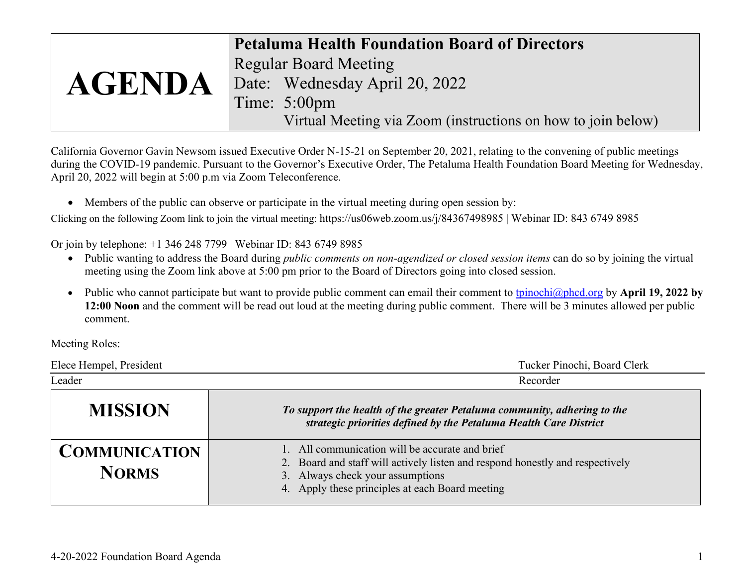|               | <b>Petaluma Health Foundation Board of Directors</b>         |
|---------------|--------------------------------------------------------------|
| <b>AGENDA</b> | <b>Regular Board Meeting</b>                                 |
|               | Date: Wednesday April 20, 2022                               |
|               | Time: $5:00 \text{pm}$                                       |
|               | Virtual Meeting via Zoom (instructions on how to join below) |

California Governor Gavin Newsom issued Executive Order N-15-21 on September 20, 2021, relating to the convening of public meetings during the COVID-19 pandemic. Pursuant to the Governor's Executive Order, The Petaluma Health Foundation Board Meeting for Wednesday, April 20, 2022 will begin at 5:00 p.m via Zoom Teleconference.

• Members of the public can observe or participate in the virtual meeting during open session by:

Clicking on the following Zoom link to join the virtual meeting: https://us06web.zoom.us/j/84367498985 | Webinar ID: 843 6749 8985

Or join by telephone: +1 346 248 7799 | Webinar ID: 843 6749 8985

- Public wanting to address the Board during *public comments on non-agendized or closed session items* can do so by joining the virtual meeting using the Zoom link above at 5:00 pm prior to the Board of Directors going into closed session.
- Public who cannot participate but want to provide public comment can email their comment to [tpinochi@phcd.org](mailto:tpinochi@phcd.org) by **April 19, 2022 by 12:00 Noon** and the comment will be read out loud at the meeting during public comment. There will be 3 minutes allowed per public comment.

Meeting Roles:

| Elece Hempel, President              | Tucker Pinochi, Board Clerk                                                                                                                                                                                             |
|--------------------------------------|-------------------------------------------------------------------------------------------------------------------------------------------------------------------------------------------------------------------------|
| Leader                               | Recorder                                                                                                                                                                                                                |
| <b>MISSION</b>                       | To support the health of the greater Petaluma community, adhering to the<br>strategic priorities defined by the Petaluma Health Care District                                                                           |
| <b>COMMUNICATION</b><br><b>NORMS</b> | 1. All communication will be accurate and brief<br>2. Board and staff will actively listen and respond honestly and respectively<br>3. Always check your assumptions<br>4. Apply these principles at each Board meeting |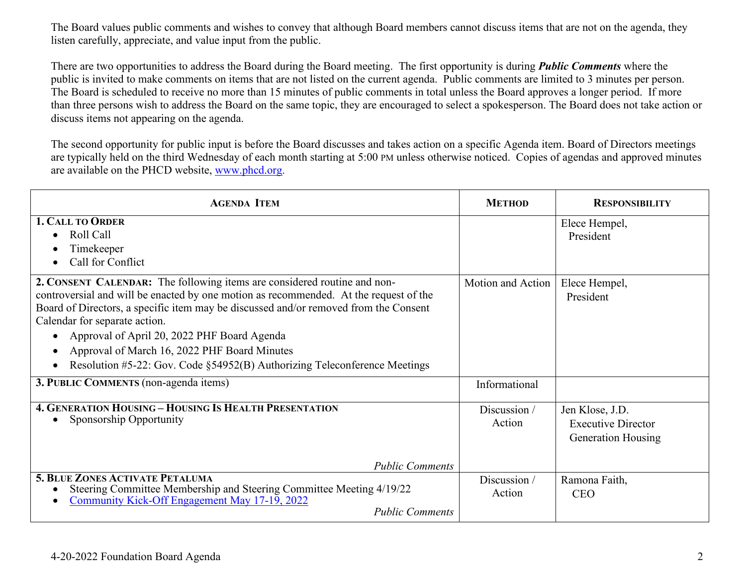The Board values public comments and wishes to convey that although Board members cannot discuss items that are not on the agenda, they listen carefully, appreciate, and value input from the public.

There are two opportunities to address the Board during the Board meeting. The first opportunity is during *Public Comments* where the public is invited to make comments on items that are not listed on the current agenda. Public comments are limited to 3 minutes per person. The Board is scheduled to receive no more than 15 minutes of public comments in total unless the Board approves a longer period. If more than three persons wish to address the Board on the same topic, they are encouraged to select a spokesperson. The Board does not take action or discuss items not appearing on the agenda.

The second opportunity for public input is before the Board discusses and takes action on a specific Agenda item. Board of Directors meetings are typically held on the third Wednesday of each month starting at 5:00 PM unless otherwise noticed. Copies of agendas and approved minutes are available on the PHCD website, [www.phcd.org.](http://www.phcd.org/)

| <b>AGENDA ITEM</b>                                                                                                                                                                                                                                                                                                                                                                                                                                                                  | <b>METHOD</b>          | <b>RESPONSIBILITY</b>                                                     |
|-------------------------------------------------------------------------------------------------------------------------------------------------------------------------------------------------------------------------------------------------------------------------------------------------------------------------------------------------------------------------------------------------------------------------------------------------------------------------------------|------------------------|---------------------------------------------------------------------------|
| 1. CALL TO ORDER<br>Roll Call<br>Timekeeper<br>Call for Conflict                                                                                                                                                                                                                                                                                                                                                                                                                    |                        | Elece Hempel,<br>President                                                |
| 2. CONSENT CALENDAR: The following items are considered routine and non-<br>controversial and will be enacted by one motion as recommended. At the request of the<br>Board of Directors, a specific item may be discussed and/or removed from the Consent<br>Calendar for separate action.<br>Approval of April 20, 2022 PHF Board Agenda<br>Approval of March 16, 2022 PHF Board Minutes<br>$\bullet$<br>Resolution #5-22: Gov. Code §54952(B) Authorizing Teleconference Meetings | Motion and Action      | Elece Hempel,<br>President                                                |
| 3. PUBLIC COMMENTS (non-agenda items)                                                                                                                                                                                                                                                                                                                                                                                                                                               | Informational          |                                                                           |
| <b>4. GENERATION HOUSING - HOUSING IS HEALTH PRESENTATION</b><br>Sponsorship Opportunity                                                                                                                                                                                                                                                                                                                                                                                            | Discussion /<br>Action | Jen Klose, J.D.<br><b>Executive Director</b><br><b>Generation Housing</b> |
| <b>Public Comments</b><br><b>5. BLUE ZONES ACTIVATE PETALUMA</b><br>Steering Committee Membership and Steering Committee Meeting 4/19/22                                                                                                                                                                                                                                                                                                                                            | Discussion /           | Ramona Faith,                                                             |
| Community Kick-Off Engagement May 17-19, 2022<br><b>Public Comments</b>                                                                                                                                                                                                                                                                                                                                                                                                             | Action                 | <b>CEO</b>                                                                |